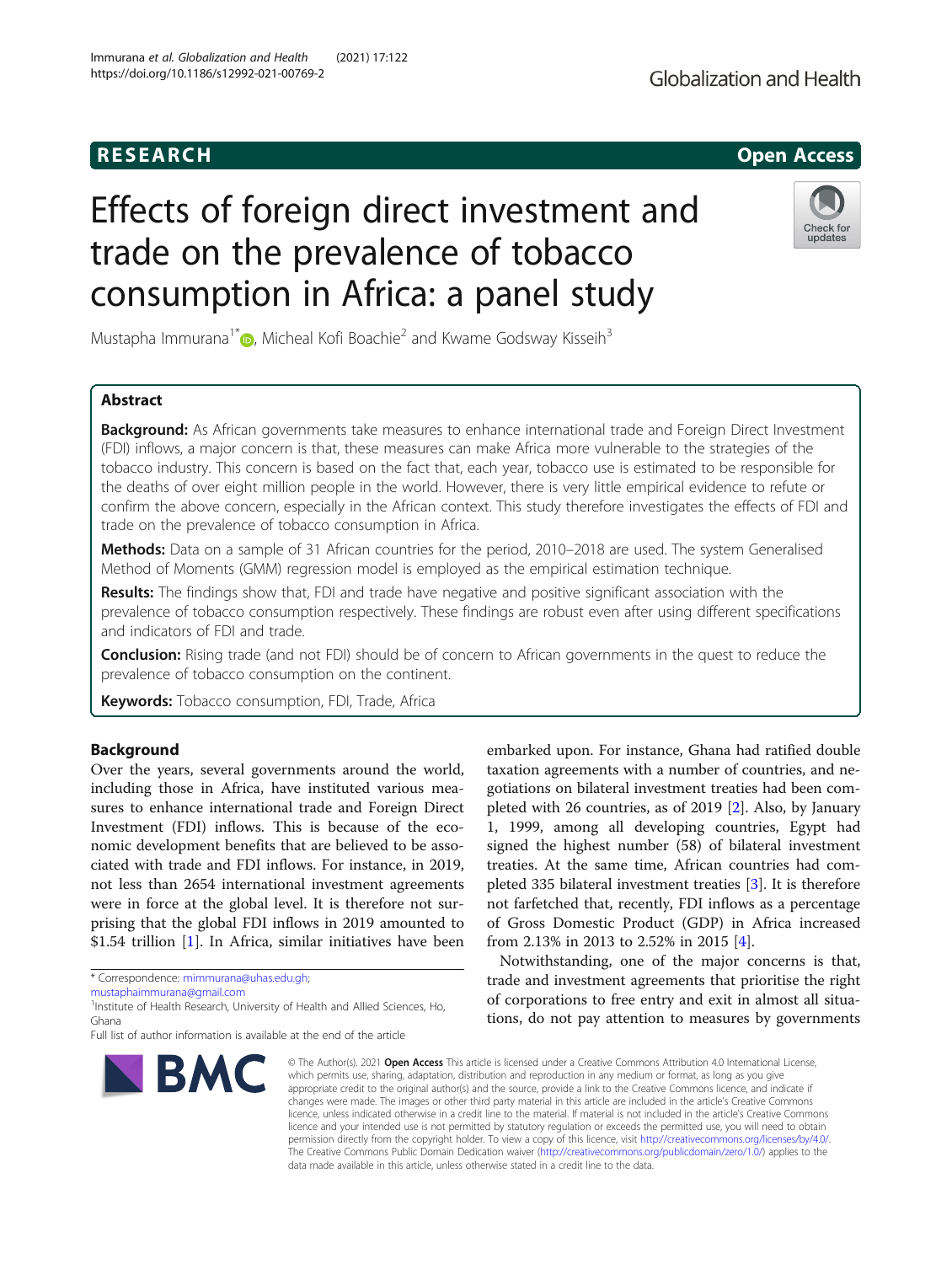# Effects of foreign direct investment and trade on the prevalence of tobacco consumption in Africa: a panel study

Mustapha Immurana<sup>1[\\*](http://orcid.org/0000-0001-5711-7566)</sup>  $\bullet$ , Micheal Kofi Boachie<sup>2</sup> and Kwame Godsway Kisseih<sup>3</sup>

## Abstract

Background: As African governments take measures to enhance international trade and Foreign Direct Investment (FDI) inflows, a major concern is that, these measures can make Africa more vulnerable to the strategies of the tobacco industry. This concern is based on the fact that, each year, tobacco use is estimated to be responsible for the deaths of over eight million people in the world. However, there is very little empirical evidence to refute or confirm the above concern, especially in the African context. This study therefore investigates the effects of FDI and trade on the prevalence of tobacco consumption in Africa.

Methods: Data on a sample of 31 African countries for the period, 2010-2018 are used. The system Generalised Method of Moments (GMM) regression model is employed as the empirical estimation technique.

Results: The findings show that, FDI and trade have negative and positive significant association with the prevalence of tobacco consumption respectively. These findings are robust even after using different specifications and indicators of FDI and trade.

**Conclusion:** Rising trade (and not FDI) should be of concern to African governments in the quest to reduce the prevalence of tobacco consumption on the continent.

Keywords: Tobacco consumption, FDI, Trade, Africa

## Background

Over the years, several governments around the world, including those in Africa, have instituted various measures to enhance international trade and Foreign Direct Investment (FDI) inflows. This is because of the economic development benefits that are believed to be associated with trade and FDI inflows. For instance, in 2019, not less than 2654 international investment agreements were in force at the global level. It is therefore not surprising that the global FDI inflows in 2019 amounted to \$1.54 trillion [[1\]](#page-8-0). In Africa, similar initiatives have been

\* Correspondence: [mimmurana@uhas.edu.gh;](mailto:mimmurana@uhas.edu.gh)

[mustaphaimmurana@gmail.com](mailto:mustaphaimmurana@gmail.com)

<sup>1</sup>Institute of Health Research, University of Health and Allied Sciences, Ho, Ghana



embarked upon. For instance, Ghana had ratified double taxation agreements with a number of countries, and negotiations on bilateral investment treaties had been completed with 26 countries, as of 2019 [\[2](#page-8-0)]. Also, by January 1, 1999, among all developing countries, Egypt had signed the highest number (58) of bilateral investment treaties. At the same time, African countries had completed 335 bilateral investment treaties [[3\]](#page-8-0). It is therefore not farfetched that, recently, FDI inflows as a percentage of Gross Domestic Product (GDP) in Africa increased from 2.13% in 2013 to 2.52% in 2015 [\[4](#page-8-0)].

Notwithstanding, one of the major concerns is that, trade and investment agreements that prioritise the right of corporations to free entry and exit in almost all situations, do not pay attention to measures by governments

© The Author(s), 2021 **Open Access** This article is licensed under a Creative Commons Attribution 4.0 International License, which permits use, sharing, adaptation, distribution and reproduction in any medium or format, as long as you give appropriate credit to the original author(s) and the source, provide a link to the Creative Commons licence, and indicate if changes were made. The images or other third party material in this article are included in the article's Creative Commons licence, unless indicated otherwise in a credit line to the material. If material is not included in the article's Creative Commons licence and your intended use is not permitted by statutory regulation or exceeds the permitted use, you will need to obtain permission directly from the copyright holder. To view a copy of this licence, visit [http://creativecommons.org/licenses/by/4.0/.](http://creativecommons.org/licenses/by/4.0/) The Creative Commons Public Domain Dedication waiver [\(http://creativecommons.org/publicdomain/zero/1.0/](http://creativecommons.org/publicdomain/zero/1.0/)) applies to the data made available in this article, unless otherwise stated in a credit line to the data.



## **RESEARCH CHILD CONTROL** CONTROL CONTROL CONTROL CONTROL CONTROL CONTROL CONTROL CONTROL CONTROL CONTROL CONTROL

Full list of author information is available at the end of the article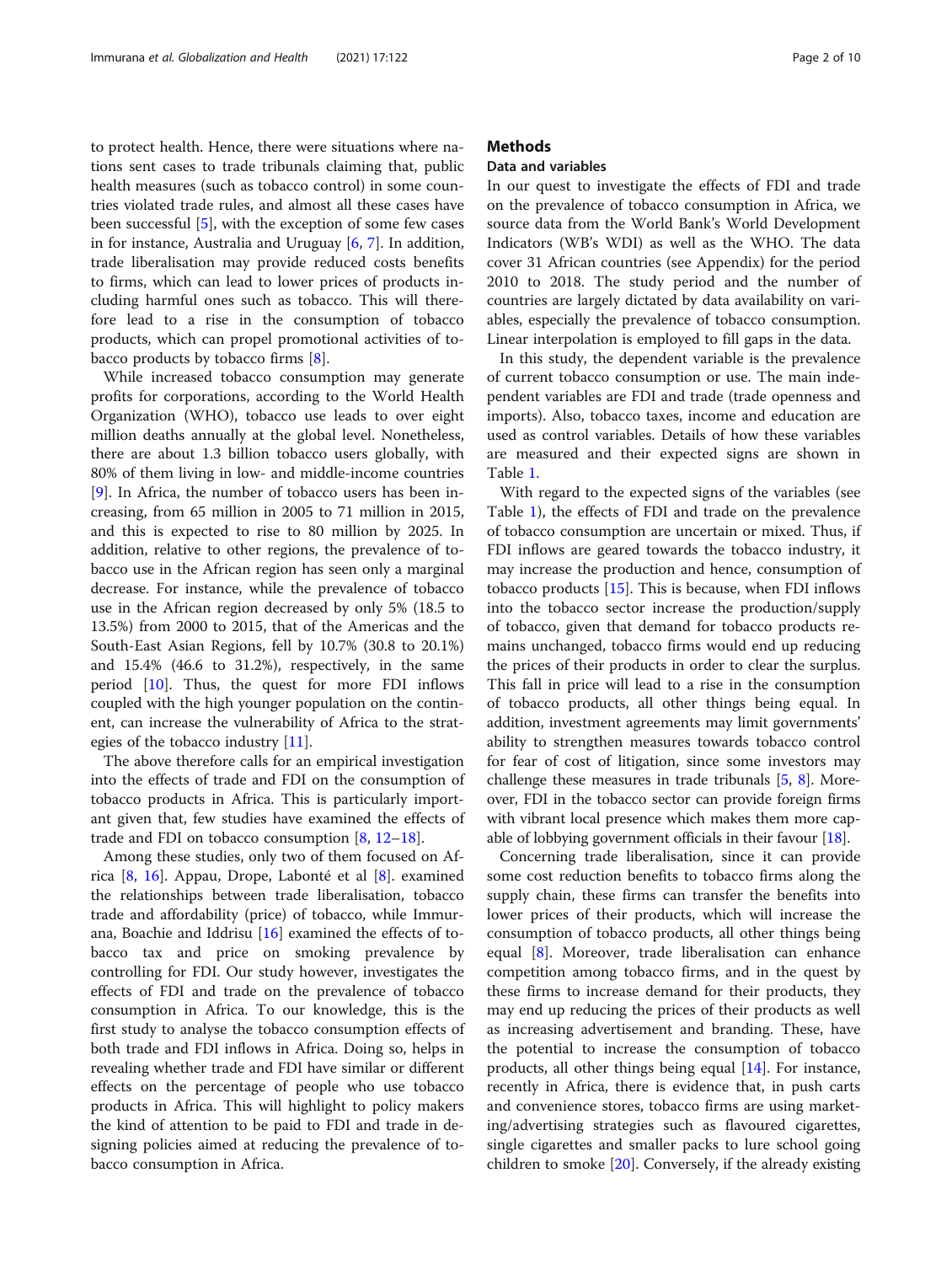to protect health. Hence, there were situations where nations sent cases to trade tribunals claiming that, public health measures (such as tobacco control) in some countries violated trade rules, and almost all these cases have been successful [[5](#page-8-0)], with the exception of some few cases in for instance, Australia and Uruguay [[6,](#page-8-0) [7\]](#page-8-0). In addition, trade liberalisation may provide reduced costs benefits to firms, which can lead to lower prices of products including harmful ones such as tobacco. This will therefore lead to a rise in the consumption of tobacco products, which can propel promotional activities of tobacco products by tobacco firms [\[8](#page-8-0)].

While increased tobacco consumption may generate profits for corporations, according to the World Health Organization (WHO), tobacco use leads to over eight million deaths annually at the global level. Nonetheless, there are about 1.3 billion tobacco users globally, with 80% of them living in low- and middle-income countries [[9\]](#page-8-0). In Africa, the number of tobacco users has been increasing, from 65 million in 2005 to 71 million in 2015, and this is expected to rise to 80 million by 2025. In addition, relative to other regions, the prevalence of tobacco use in the African region has seen only a marginal decrease. For instance, while the prevalence of tobacco use in the African region decreased by only 5% (18.5 to 13.5%) from 2000 to 2015, that of the Americas and the South-East Asian Regions, fell by 10.7% (30.8 to 20.1%) and 15.4% (46.6 to 31.2%), respectively, in the same period [[10\]](#page-8-0). Thus, the quest for more FDI inflows coupled with the high younger population on the continent, can increase the vulnerability of Africa to the strategies of the tobacco industry [[11](#page-8-0)].

The above therefore calls for an empirical investigation into the effects of trade and FDI on the consumption of tobacco products in Africa. This is particularly important given that, few studies have examined the effects of trade and FDI on tobacco consumption [[8,](#page-8-0) [12](#page-8-0)–[18](#page-8-0)].

Among these studies, only two of them focused on Africa [[8,](#page-8-0) [16\]](#page-8-0). Appau, Drope, Labonté et al [[8\]](#page-8-0). examined the relationships between trade liberalisation, tobacco trade and affordability (price) of tobacco, while Immurana, Boachie and Iddrisu  $[16]$  $[16]$  examined the effects of tobacco tax and price on smoking prevalence by controlling for FDI. Our study however, investigates the effects of FDI and trade on the prevalence of tobacco consumption in Africa. To our knowledge, this is the first study to analyse the tobacco consumption effects of both trade and FDI inflows in Africa. Doing so, helps in revealing whether trade and FDI have similar or different effects on the percentage of people who use tobacco products in Africa. This will highlight to policy makers the kind of attention to be paid to FDI and trade in designing policies aimed at reducing the prevalence of tobacco consumption in Africa.

## **Methods**

## Data and variables

In our quest to investigate the effects of FDI and trade on the prevalence of tobacco consumption in Africa, we source data from the World Bank's World Development Indicators (WB's WDI) as well as the WHO. The data cover 31 African countries (see Appendix) for the period 2010 to 2018. The study period and the number of countries are largely dictated by data availability on variables, especially the prevalence of tobacco consumption. Linear interpolation is employed to fill gaps in the data.

In this study, the dependent variable is the prevalence of current tobacco consumption or use. The main independent variables are FDI and trade (trade openness and imports). Also, tobacco taxes, income and education are used as control variables. Details of how these variables are measured and their expected signs are shown in Table [1.](#page-2-0)

With regard to the expected signs of the variables (see Table [1](#page-2-0)), the effects of FDI and trade on the prevalence of tobacco consumption are uncertain or mixed. Thus, if FDI inflows are geared towards the tobacco industry, it may increase the production and hence, consumption of tobacco products  $[15]$  $[15]$ . This is because, when FDI inflows into the tobacco sector increase the production/supply of tobacco, given that demand for tobacco products remains unchanged, tobacco firms would end up reducing the prices of their products in order to clear the surplus. This fall in price will lead to a rise in the consumption of tobacco products, all other things being equal. In addition, investment agreements may limit governments' ability to strengthen measures towards tobacco control for fear of cost of litigation, since some investors may challenge these measures in trade tribunals [[5,](#page-8-0) [8](#page-8-0)]. Moreover, FDI in the tobacco sector can provide foreign firms with vibrant local presence which makes them more capable of lobbying government officials in their favour [\[18\]](#page-8-0).

Concerning trade liberalisation, since it can provide some cost reduction benefits to tobacco firms along the supply chain, these firms can transfer the benefits into lower prices of their products, which will increase the consumption of tobacco products, all other things being equal [[8\]](#page-8-0). Moreover, trade liberalisation can enhance competition among tobacco firms, and in the quest by these firms to increase demand for their products, they may end up reducing the prices of their products as well as increasing advertisement and branding. These, have the potential to increase the consumption of tobacco products, all other things being equal [[14\]](#page-8-0). For instance, recently in Africa, there is evidence that, in push carts and convenience stores, tobacco firms are using marketing/advertising strategies such as flavoured cigarettes, single cigarettes and smaller packs to lure school going children to smoke [[20\]](#page-8-0). Conversely, if the already existing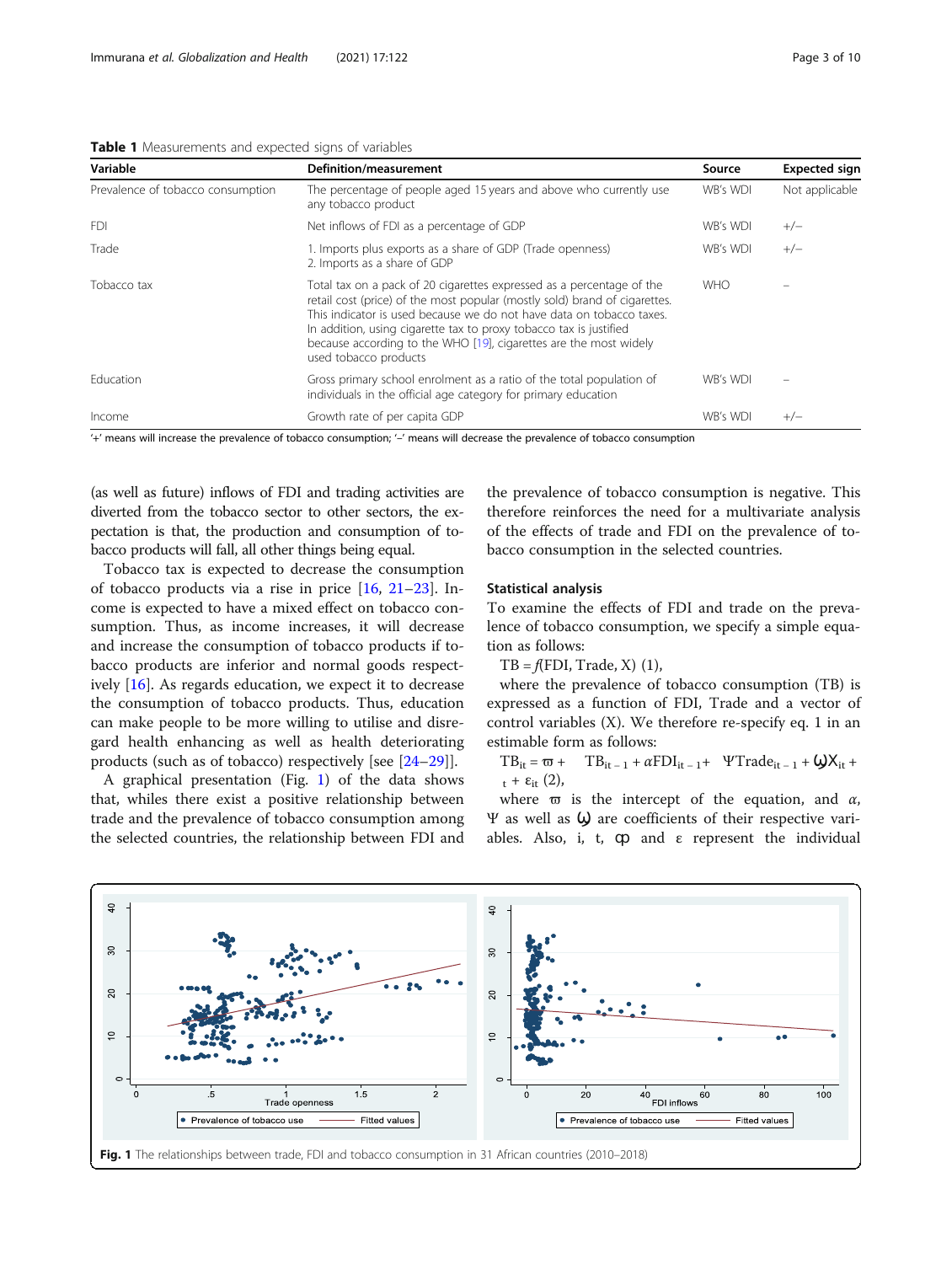<span id="page-2-0"></span>Table 1 Measurements and expected signs of variables

| Variable                          | <b>Definition/measurement</b>                                                                                                                                                                                                                                                                                                                                                                   | Source     | <b>Expected sign</b> |
|-----------------------------------|-------------------------------------------------------------------------------------------------------------------------------------------------------------------------------------------------------------------------------------------------------------------------------------------------------------------------------------------------------------------------------------------------|------------|----------------------|
| Prevalence of tobacco consumption | The percentage of people aged 15 years and above who currently use<br>any tobacco product                                                                                                                                                                                                                                                                                                       | WB's WDI   | Not applicable       |
| <b>FDI</b>                        | Net inflows of FDI as a percentage of GDP                                                                                                                                                                                                                                                                                                                                                       | WB's WDI   | $+/-$                |
| Trade                             | 1. Imports plus exports as a share of GDP (Trade openness)<br>2. Imports as a share of GDP                                                                                                                                                                                                                                                                                                      | WB's WDI   | $+/-$                |
| Tobacco tax                       | Total tax on a pack of 20 cigarettes expressed as a percentage of the<br>retail cost (price) of the most popular (mostly sold) brand of cigarettes.<br>This indicator is used because we do not have data on tobacco taxes.<br>In addition, using cigarette tax to proxy tobacco tax is justified<br>because according to the WHO [19], cigarettes are the most widely<br>used tobacco products | <b>WHO</b> |                      |
| Education                         | Gross primary school enrolment as a ratio of the total population of<br>individuals in the official age category for primary education                                                                                                                                                                                                                                                          | WB's WDI   |                      |
| Income                            | Growth rate of per capita GDP                                                                                                                                                                                                                                                                                                                                                                   | WB's WDI   | $+/-$                |

'+' means will increase the prevalence of tobacco consumption; '–' means will decrease the prevalence of tobacco consumption

(as well as future) inflows of FDI and trading activities are diverted from the tobacco sector to other sectors, the expectation is that, the production and consumption of tobacco products will fall, all other things being equal.

Tobacco tax is expected to decrease the consumption of tobacco products via a rise in price  $[16, 21-23]$  $[16, 21-23]$  $[16, 21-23]$  $[16, 21-23]$  $[16, 21-23]$ . Income is expected to have a mixed effect on tobacco consumption. Thus, as income increases, it will decrease and increase the consumption of tobacco products if tobacco products are inferior and normal goods respectively [\[16](#page-8-0)]. As regards education, we expect it to decrease the consumption of tobacco products. Thus, education can make people to be more willing to utilise and disregard health enhancing as well as health deteriorating products (such as of tobacco) respectively [see [[24](#page-8-0)–[29](#page-8-0)]].

A graphical presentation (Fig. 1) of the data shows that, whiles there exist a positive relationship between trade and the prevalence of tobacco consumption among the selected countries, the relationship between FDI and

the prevalence of tobacco consumption is negative. This therefore reinforces the need for a multivariate analysis of the effects of trade and FDI on the prevalence of tobacco consumption in the selected countries.

## Statistical analysis

To examine the effects of FDI and trade on the prevalence of tobacco consumption, we specify a simple equation as follows:

 $TB = f(FDI, Trade, X)$  (1),

where the prevalence of tobacco consumption (TB) is expressed as a function of FDI, Trade and a vector of control variables (X). We therefore re-specify eq. 1 in an estimable form as follows:

 $TB_{it} = \varpi + TB_{it-1} + \alpha FDI_{it-1} + \Psi Trade_{it-1} + \omega X_{it} +$  $_{t}$  +  $\varepsilon_{it}$  (2),

where  $\varpi$  is the intercept of the equation, and  $\alpha$ , Ψ as well as Ϣ are coefficients of their respective variables. Also, i, t,  $\varphi$  and  $\varepsilon$  represent the individual

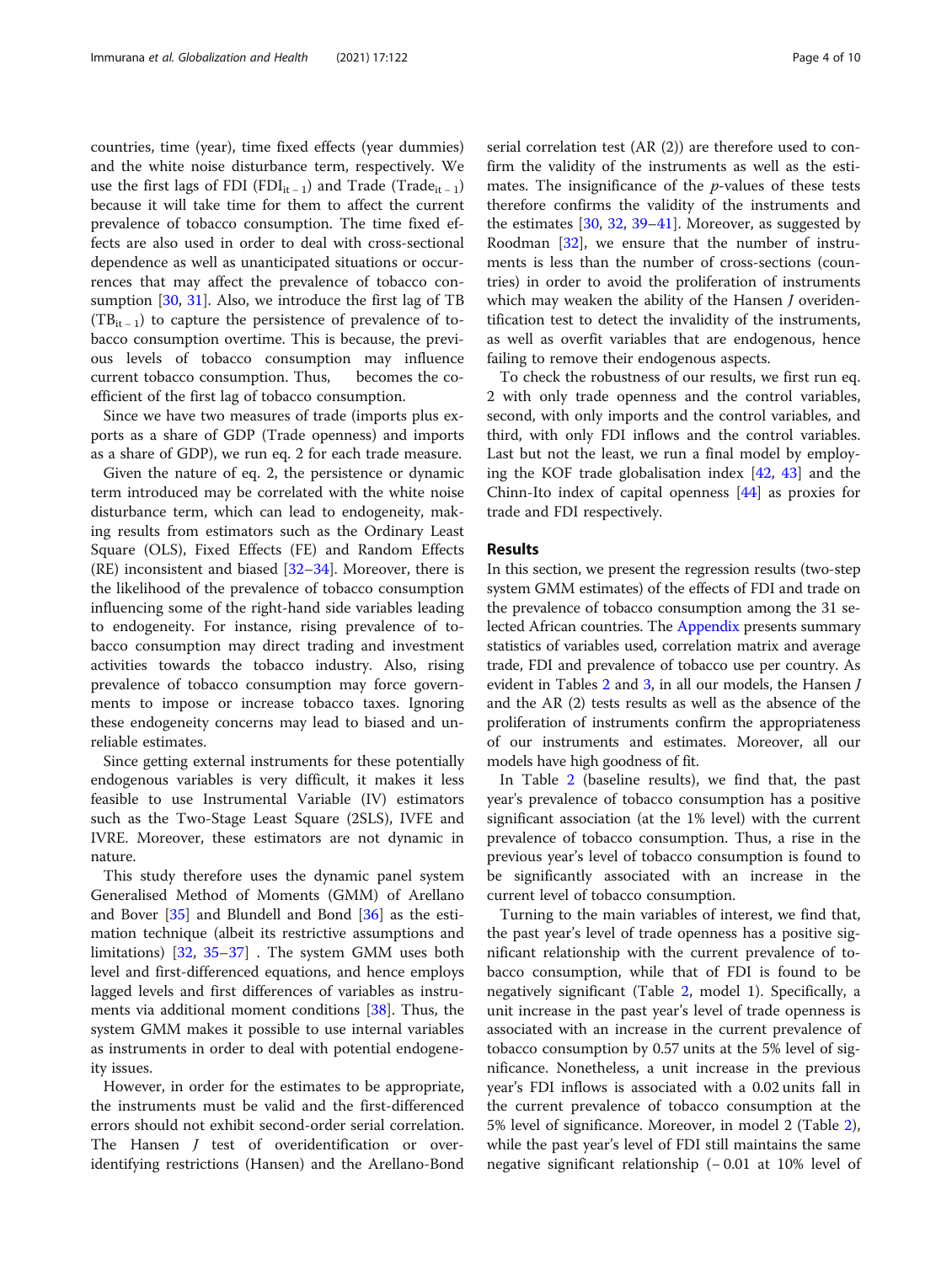countries, time (year), time fixed effects (year dummies) and the white noise disturbance term, respectively. We use the first lags of FDI (FDI<sub>it – 1</sub>) and Trade (Trade<sub>it – 1</sub>) because it will take time for them to affect the current prevalence of tobacco consumption. The time fixed effects are also used in order to deal with cross-sectional dependence as well as unanticipated situations or occurrences that may affect the prevalence of tobacco consumption  $[30, 31]$  $[30, 31]$  $[30, 31]$  $[30, 31]$ . Also, we introduce the first lag of TB  $(TB_{it-1})$  to capture the persistence of prevalence of tobacco consumption overtime. This is because, the previous levels of tobacco consumption may influence current tobacco consumption. Thus, becomes the coefficient of the first lag of tobacco consumption.

Since we have two measures of trade (imports plus exports as a share of GDP (Trade openness) and imports as a share of GDP), we run eq. 2 for each trade measure.

Given the nature of eq. 2, the persistence or dynamic term introduced may be correlated with the white noise disturbance term, which can lead to endogeneity, making results from estimators such as the Ordinary Least Square (OLS), Fixed Effects (FE) and Random Effects (RE) inconsistent and biased [\[32](#page-8-0)–[34](#page-9-0)]. Moreover, there is the likelihood of the prevalence of tobacco consumption influencing some of the right-hand side variables leading to endogeneity. For instance, rising prevalence of tobacco consumption may direct trading and investment activities towards the tobacco industry. Also, rising prevalence of tobacco consumption may force governments to impose or increase tobacco taxes. Ignoring these endogeneity concerns may lead to biased and unreliable estimates.

Since getting external instruments for these potentially endogenous variables is very difficult, it makes it less feasible to use Instrumental Variable (IV) estimators such as the Two-Stage Least Square (2SLS), IVFE and IVRE. Moreover, these estimators are not dynamic in nature.

This study therefore uses the dynamic panel system Generalised Method of Moments (GMM) of Arellano and Bover [\[35\]](#page-9-0) and Blundell and Bond [\[36](#page-9-0)] as the estimation technique (albeit its restrictive assumptions and limitations) [[32,](#page-8-0) [35](#page-9-0)–[37\]](#page-9-0) . The system GMM uses both level and first-differenced equations, and hence employs lagged levels and first differences of variables as instruments via additional moment conditions [\[38\]](#page-9-0). Thus, the system GMM makes it possible to use internal variables as instruments in order to deal with potential endogeneity issues.

However, in order for the estimates to be appropriate, the instruments must be valid and the first-differenced errors should not exhibit second-order serial correlation. The Hansen J test of overidentification or overidentifying restrictions (Hansen) and the Arellano-Bond serial correlation test (AR (2)) are therefore used to confirm the validity of the instruments as well as the estimates. The insignificance of the  $p$ -values of these tests therefore confirms the validity of the instruments and the estimates [\[30,](#page-8-0) [32](#page-8-0), [39](#page-9-0)–[41](#page-9-0)]. Moreover, as suggested by Roodman [[32](#page-8-0)], we ensure that the number of instruments is less than the number of cross-sections (countries) in order to avoid the proliferation of instruments which may weaken the ability of the Hansen *J* overidentification test to detect the invalidity of the instruments, as well as overfit variables that are endogenous, hence failing to remove their endogenous aspects.

To check the robustness of our results, we first run eq. 2 with only trade openness and the control variables, second, with only imports and the control variables, and third, with only FDI inflows and the control variables. Last but not the least, we run a final model by employing the KOF trade globalisation index [[42,](#page-9-0) [43](#page-9-0)] and the Chinn-Ito index of capital openness [[44\]](#page-9-0) as proxies for trade and FDI respectively.

## Results

In this section, we present the regression results (two-step system GMM estimates) of the effects of FDI and trade on the prevalence of tobacco consumption among the 31 selected African countries. The [Appendix](#page-6-0) presents summary statistics of variables used, correlation matrix and average trade, FDI and prevalence of tobacco use per country. As evident in Tables  $2$  and  $3$ , in all our models, the Hansen  $J$ and the AR (2) tests results as well as the absence of the proliferation of instruments confirm the appropriateness of our instruments and estimates. Moreover, all our models have high goodness of fit.

In Table [2](#page-4-0) (baseline results), we find that, the past year's prevalence of tobacco consumption has a positive significant association (at the 1% level) with the current prevalence of tobacco consumption. Thus, a rise in the previous year's level of tobacco consumption is found to be significantly associated with an increase in the current level of tobacco consumption.

Turning to the main variables of interest, we find that, the past year's level of trade openness has a positive significant relationship with the current prevalence of tobacco consumption, while that of FDI is found to be negatively significant (Table [2](#page-4-0), model 1). Specifically, a unit increase in the past year's level of trade openness is associated with an increase in the current prevalence of tobacco consumption by 0.57 units at the 5% level of significance. Nonetheless, a unit increase in the previous year's FDI inflows is associated with a 0.02 units fall in the current prevalence of tobacco consumption at the 5% level of significance. Moreover, in model 2 (Table [2](#page-4-0)), while the past year's level of FDI still maintains the same negative significant relationship (−0.01 at 10% level of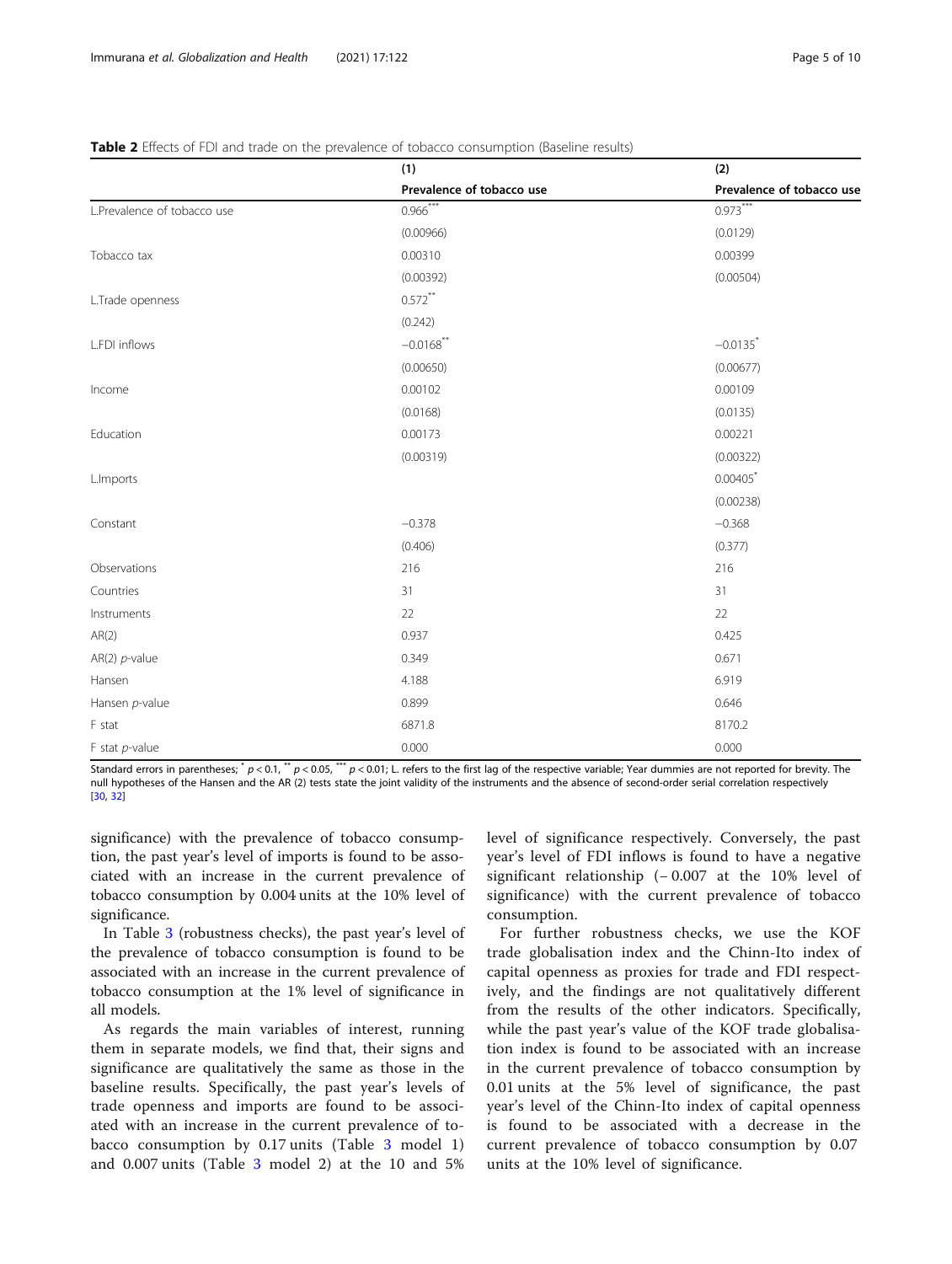|                             | (1)                       | (2)                       |  |
|-----------------------------|---------------------------|---------------------------|--|
|                             | Prevalence of tobacco use | Prevalence of tobacco use |  |
| L.Prevalence of tobacco use | $0.966***$                | $0.973***$                |  |
|                             | (0.00966)                 | (0.0129)                  |  |
| Tobacco tax                 | 0.00310                   | 0.00399                   |  |
|                             | (0.00392)                 | (0.00504)                 |  |
| L.Trade openness            | $0.572***$                |                           |  |
|                             | (0.242)                   |                           |  |
| L.FDI inflows               | $-0.0168$ **              | $-0.0135$ <sup>*</sup>    |  |
|                             | (0.00650)                 | (0.00677)                 |  |
| Income                      | 0.00102                   | 0.00109                   |  |
|                             | (0.0168)                  | (0.0135)                  |  |
| Education                   | 0.00173                   | 0.00221                   |  |
|                             | (0.00319)                 | (0.00322)                 |  |
| L.Imports                   |                           | 0.00405                   |  |
|                             |                           | (0.00238)                 |  |
| Constant                    | $-0.378$                  | $-0.368$                  |  |
|                             | (0.406)                   | (0.377)                   |  |
| Observations                | 216                       | 216                       |  |
| Countries                   | 31                        | 31                        |  |
| Instruments                 | 22                        | 22                        |  |
| AR(2)                       | 0.937                     | 0.425                     |  |
| AR(2) $p$ -value            | 0.349                     | 0.671                     |  |
| Hansen                      | 4.188                     | 6.919                     |  |
| Hansen p-value              | 0.899                     | 0.646                     |  |
| F stat                      | 6871.8                    | 8170.2                    |  |
| $F$ stat $p$ -value         | 0.000                     | 0.000                     |  |

## <span id="page-4-0"></span>Table 2 Effects of FDI and trade on the prevalence of tobacco consumption (Baseline results)

Standard errors in parentheses;  $^*p$  < 0.1,  $^*p$  < 0.05,  $^{**}p$  < 0.01; L. refers to the first lag of the respective variable; Year dummies are not reported for brevity. The null hypotheses of the Hansen and the AR (2) tests state the joint validity of the instruments and the absence of second-order serial correlation respectively [[30,](#page-8-0) [32](#page-8-0)]

significance) with the prevalence of tobacco consumption, the past year's level of imports is found to be associated with an increase in the current prevalence of tobacco consumption by 0.004 units at the 10% level of significance.

In Table [3](#page-5-0) (robustness checks), the past year's level of the prevalence of tobacco consumption is found to be associated with an increase in the current prevalence of tobacco consumption at the 1% level of significance in all models.

As regards the main variables of interest, running them in separate models, we find that, their signs and significance are qualitatively the same as those in the baseline results. Specifically, the past year's levels of trade openness and imports are found to be associated with an increase in the current prevalence of tobacco consumption by 0.17 units (Table [3](#page-5-0) model 1) and 0.007 units (Table [3](#page-5-0) model 2) at the 10 and 5%

level of significance respectively. Conversely, the past year's level of FDI inflows is found to have a negative significant relationship (− 0.007 at the 10% level of significance) with the current prevalence of tobacco consumption.

For further robustness checks, we use the KOF trade globalisation index and the Chinn-Ito index of capital openness as proxies for trade and FDI respectively, and the findings are not qualitatively different from the results of the other indicators. Specifically, while the past year's value of the KOF trade globalisation index is found to be associated with an increase in the current prevalence of tobacco consumption by 0.01 units at the 5% level of significance, the past year's level of the Chinn-Ito index of capital openness is found to be associated with a decrease in the current prevalence of tobacco consumption by 0.07 units at the 10% level of significance.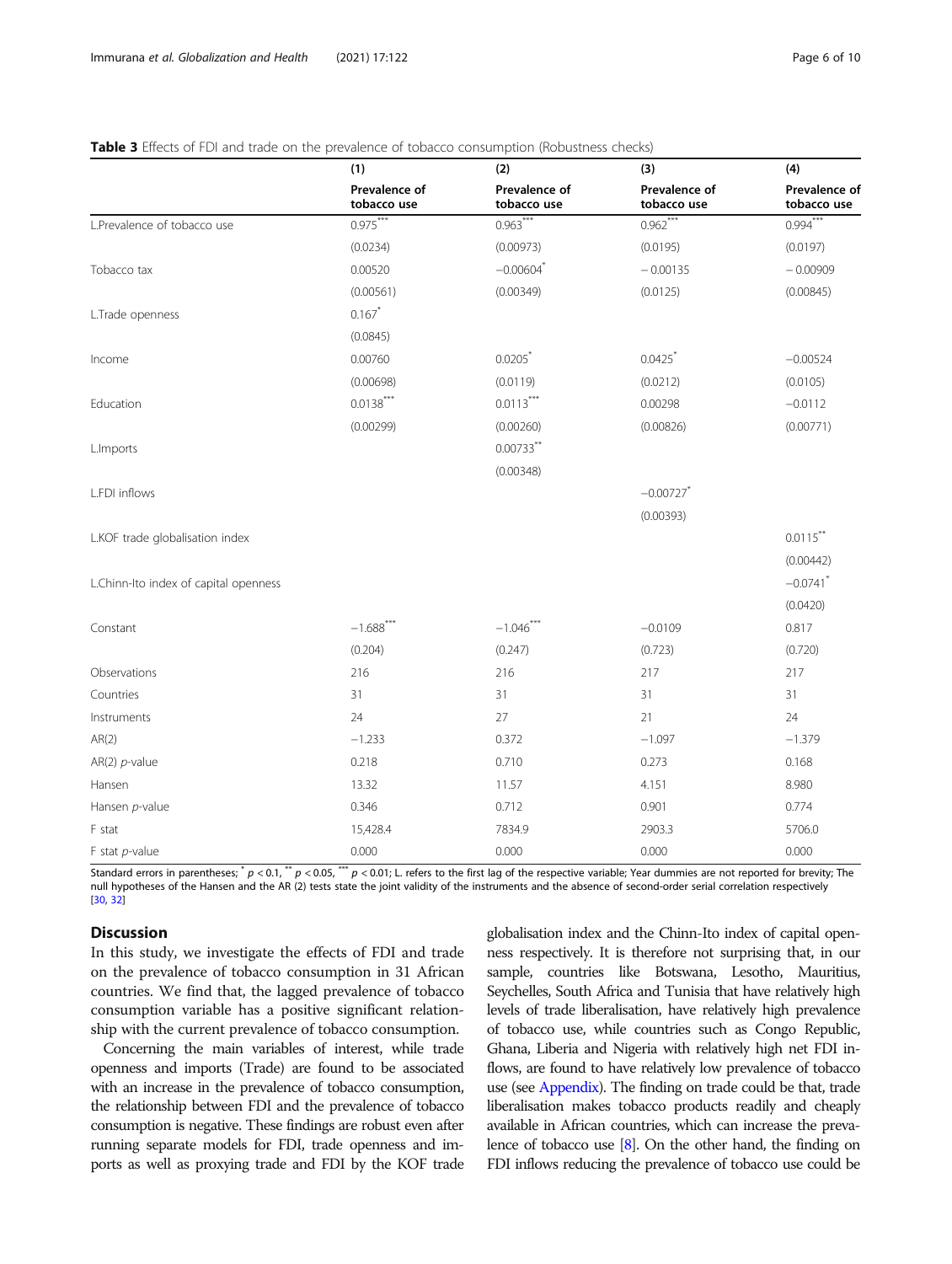## <span id="page-5-0"></span>Table 3 Effects of FDI and trade on the prevalence of tobacco consumption (Robustness checks)

|                                       | (1)                          | (2)                          | (3)                          | (4)                          |
|---------------------------------------|------------------------------|------------------------------|------------------------------|------------------------------|
|                                       | Prevalence of<br>tobacco use | Prevalence of<br>tobacco use | Prevalence of<br>tobacco use | Prevalence of<br>tobacco use |
| L.Prevalence of tobacco use           | $0.975***$                   | $0.963***$                   | $0.962***$                   | $0.994***$                   |
|                                       | (0.0234)                     | (0.00973)                    | (0.0195)                     | (0.0197)                     |
| Tobacco tax                           | 0.00520                      | $-0.00604$ <sup>*</sup>      | $-0.00135$                   | $-0.00909$                   |
|                                       | (0.00561)                    | (0.00349)                    | (0.0125)                     | (0.00845)                    |
| L.Trade openness                      | $0.167*$                     |                              |                              |                              |
|                                       | (0.0845)                     |                              |                              |                              |
| Income                                | 0.00760                      | 0.0205                       | 0.0425                       | $-0.00524$                   |
|                                       | (0.00698)                    | (0.0119)                     | (0.0212)                     | (0.0105)                     |
| Education                             | $0.0138***$                  | $0.0113***$                  | 0.00298                      | $-0.0112$                    |
|                                       | (0.00299)                    | (0.00260)                    | (0.00826)                    | (0.00771)                    |
| L.Imports                             |                              | $0.00733$ **                 |                              |                              |
|                                       |                              | (0.00348)                    |                              |                              |
| L.FDI inflows                         |                              |                              | $-0.00727$ <sup>*</sup>      |                              |
|                                       |                              |                              | (0.00393)                    |                              |
| L.KOF trade globalisation index       |                              |                              |                              | $0.0115***$                  |
|                                       |                              |                              |                              | (0.00442)                    |
| L.Chinn-Ito index of capital openness |                              |                              |                              | $-0.0741$ <sup>*</sup>       |
|                                       |                              |                              |                              | (0.0420)                     |
| Constant                              | $-1.688$ <sup>***</sup>      | $-1.046$ <sup>***</sup>      | $-0.0109$                    | 0.817                        |
|                                       | (0.204)                      | (0.247)                      | (0.723)                      | (0.720)                      |
| Observations                          | 216                          | 216                          | 217                          | 217                          |
| Countries                             | 31                           | 31                           | 31                           | 31                           |
| Instruments                           | 24                           | 27                           | 21                           | 24                           |
| AR(2)                                 | $-1.233$                     | 0.372                        | $-1.097$                     | $-1.379$                     |
| AR(2) $p$ -value                      | 0.218                        | 0.710                        | 0.273                        | 0.168                        |
| Hansen                                | 13.32                        | 11.57                        | 4.151                        | 8.980                        |
| Hansen p-value                        | 0.346                        | 0.712                        | 0.901                        | 0.774                        |
| F stat                                | 15,428.4                     | 7834.9                       | 2903.3                       | 5706.0                       |
| $F$ stat $p$ -value                   | 0.000                        | 0.000                        | 0.000                        | 0.000                        |

Standard errors in parentheses;  $^*p$  < 0.1,  $^*p$  < 0.05,  $^{***}p$  < 0.01; L. refers to the first lag of the respective variable; Year dummies are not reported for brevity; The null hypotheses of the Hansen and the AR (2) tests state the joint validity of the instruments and the absence of second-order serial correlation respectively [[30,](#page-8-0) [32](#page-8-0)]

## Discussion

In this study, we investigate the effects of FDI and trade on the prevalence of tobacco consumption in 31 African countries. We find that, the lagged prevalence of tobacco consumption variable has a positive significant relationship with the current prevalence of tobacco consumption.

Concerning the main variables of interest, while trade openness and imports (Trade) are found to be associated with an increase in the prevalence of tobacco consumption, the relationship between FDI and the prevalence of tobacco consumption is negative. These findings are robust even after running separate models for FDI, trade openness and imports as well as proxying trade and FDI by the KOF trade

globalisation index and the Chinn-Ito index of capital openness respectively. It is therefore not surprising that, in our sample, countries like Botswana, Lesotho, Mauritius, Seychelles, South Africa and Tunisia that have relatively high levels of trade liberalisation, have relatively high prevalence of tobacco use, while countries such as Congo Republic, Ghana, Liberia and Nigeria with relatively high net FDI inflows, are found to have relatively low prevalence of tobacco use (see [Appendix\)](#page-6-0). The finding on trade could be that, trade liberalisation makes tobacco products readily and cheaply available in African countries, which can increase the prevalence of tobacco use  $[8]$  $[8]$  $[8]$ . On the other hand, the finding on FDI inflows reducing the prevalence of tobacco use could be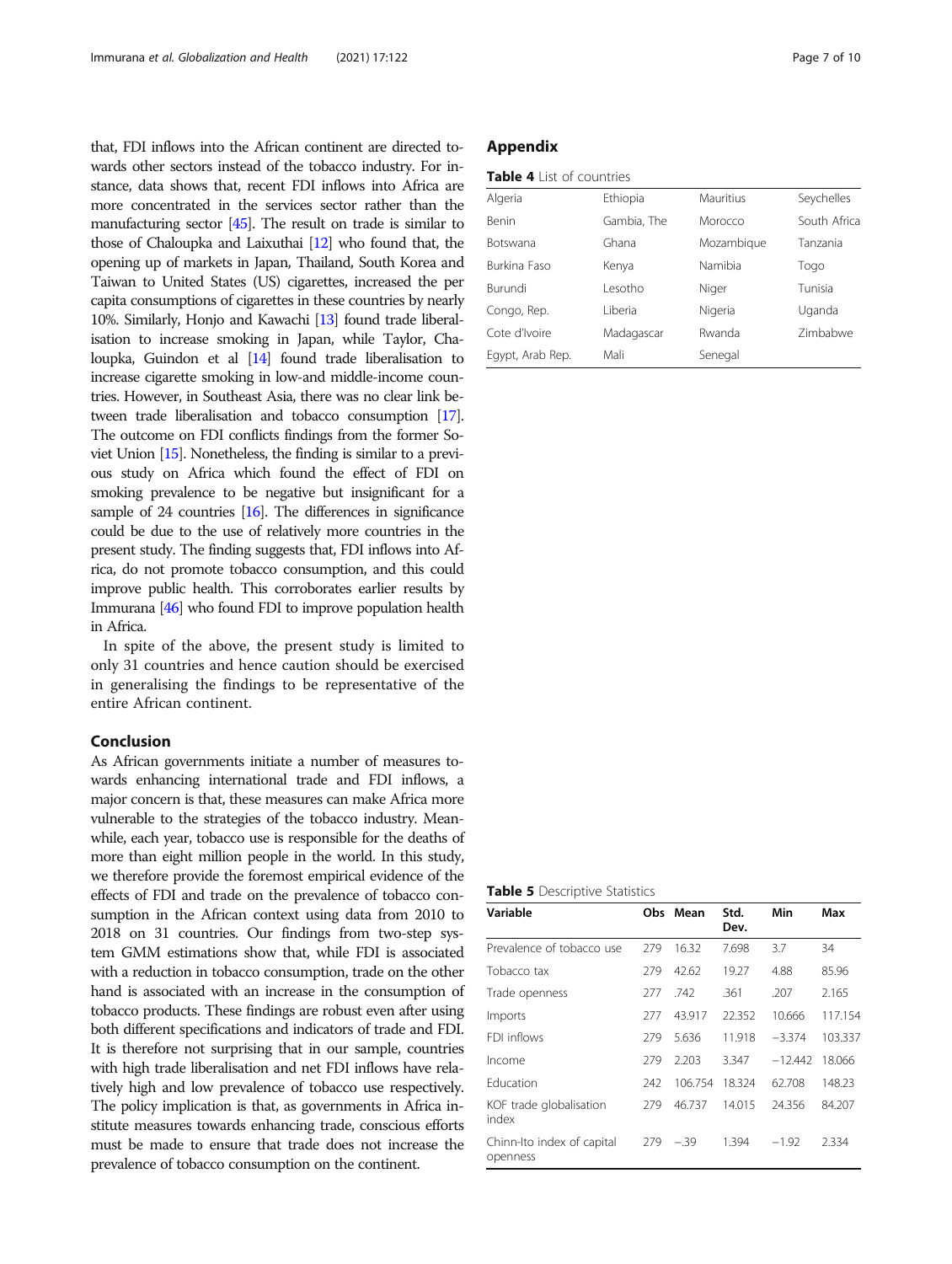<span id="page-6-0"></span>that, FDI inflows into the African continent are directed towards other sectors instead of the tobacco industry. For instance, data shows that, recent FDI inflows into Africa are more concentrated in the services sector rather than the manufacturing sector [[45\]](#page-9-0). The result on trade is similar to those of Chaloupka and Laixuthai [\[12](#page-8-0)] who found that, the opening up of markets in Japan, Thailand, South Korea and Taiwan to United States (US) cigarettes, increased the per capita consumptions of cigarettes in these countries by nearly 10%. Similarly, Honjo and Kawachi [\[13\]](#page-8-0) found trade liberalisation to increase smoking in Japan, while Taylor, Chaloupka, Guindon et al [[14\]](#page-8-0) found trade liberalisation to increase cigarette smoking in low-and middle-income countries. However, in Southeast Asia, there was no clear link between trade liberalisation and tobacco consumption [\[17\]](#page-8-0). The outcome on FDI conflicts findings from the former Soviet Union [[15\]](#page-8-0). Nonetheless, the finding is similar to a previous study on Africa which found the effect of FDI on smoking prevalence to be negative but insignificant for a sample of 24 countries [[16\]](#page-8-0). The differences in significance could be due to the use of relatively more countries in the present study. The finding suggests that, FDI inflows into Africa, do not promote tobacco consumption, and this could improve public health. This corroborates earlier results by Immurana [[46\]](#page-9-0) who found FDI to improve population health in Africa.

In spite of the above, the present study is limited to only 31 countries and hence caution should be exercised in generalising the findings to be representative of the entire African continent.

## Conclusion

As African governments initiate a number of measures towards enhancing international trade and FDI inflows, a major concern is that, these measures can make Africa more vulnerable to the strategies of the tobacco industry. Meanwhile, each year, tobacco use is responsible for the deaths of more than eight million people in the world. In this study, we therefore provide the foremost empirical evidence of the effects of FDI and trade on the prevalence of tobacco consumption in the African context using data from 2010 to 2018 on 31 countries. Our findings from two-step system GMM estimations show that, while FDI is associated with a reduction in tobacco consumption, trade on the other hand is associated with an increase in the consumption of tobacco products. These findings are robust even after using both different specifications and indicators of trade and FDI. It is therefore not surprising that in our sample, countries with high trade liberalisation and net FDI inflows have relatively high and low prevalence of tobacco use respectively. The policy implication is that, as governments in Africa institute measures towards enhancing trade, conscious efforts must be made to ensure that trade does not increase the prevalence of tobacco consumption on the continent.

## Appendix

| Table 4 List of countries |
|---------------------------|
|---------------------------|

| Algeria             | Ethiopia    | Mauritius  | Seychelles      |
|---------------------|-------------|------------|-----------------|
| <b>Benin</b>        | Gambia, The | Morocco    | South Africa    |
| <b>Botswana</b>     | Ghana       | Mozambique | Tanzania        |
| <b>Burkina Faso</b> | Kenya       | Namibia    | Togo            |
| Burundi             | Lesotho     | Niger      | Tunisia         |
| Congo, Rep.         | Liberia     | Nigeria    | Uganda          |
| Cote d'Ivoire       | Madagascar  | Rwanda     | <b>Zimbabwe</b> |
| Egypt, Arab Rep.    | Mali        | Senegal    |                 |

Table 5 Descriptive Statistics

| Variable                               | Obs. | Mean    | Std.<br>Dev. | Min       | Max     |
|----------------------------------------|------|---------|--------------|-----------|---------|
| Prevalence of tobacco use              | 279  | 16.32   | 7.698        | 3.7       | 34      |
| Tobacco tax                            | 279  | 42.62   | 19.27        | 4.88      | 85.96   |
| Trade openness                         | 277  | .742    | .361         | .207      | 2.165   |
| Imports                                | 277  | 43.917  | 22.352       | 10.666    | 117.154 |
| FDI inflows                            | 279  | 5.636   | 11.918       | $-3.374$  | 103.337 |
| Income                                 | 279  | 2.203   | 3.347        | $-12.442$ | 18.066  |
| Fducation                              | 242  | 106.754 | 18.324       | 62.708    | 148.23  |
| KOF trade globalisation<br>index       | 279  | 46.737  | 14.015       | 24.356    | 84.207  |
| Chinn-Ito index of capital<br>openness | 279  | $-.39$  | 1.394        | $-1.92$   | 2.334   |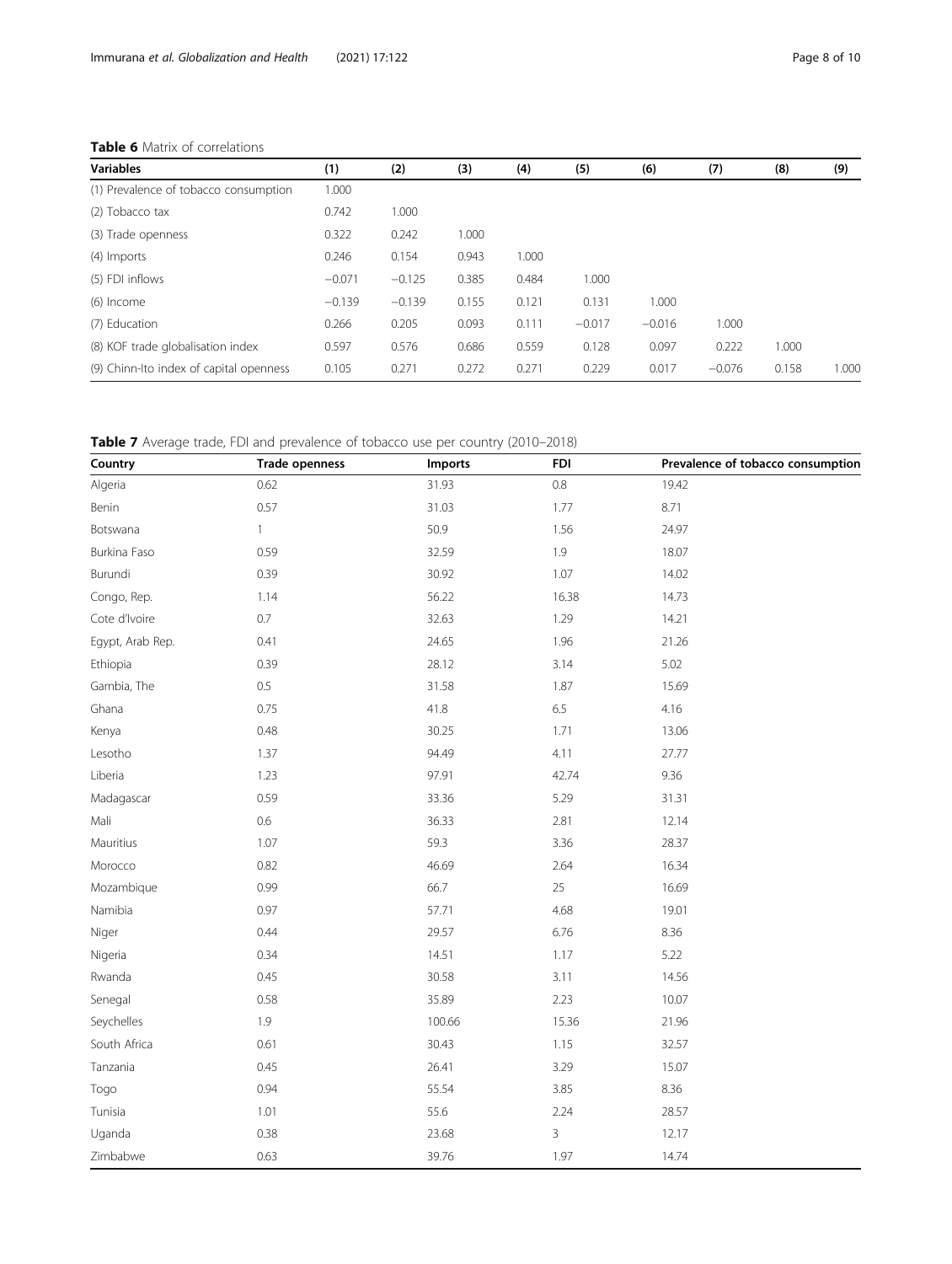## Table 6 Matrix of correlations

| <b>Variables</b>                        | (1)      | (2)      | (3)   | (4)   | (5)      | (6)      | (7)      | (8)   | (9)   |
|-----------------------------------------|----------|----------|-------|-------|----------|----------|----------|-------|-------|
| (1) Prevalence of tobacco consumption   | 1.000    |          |       |       |          |          |          |       |       |
| (2) Tobacco tax                         | 0.742    | 1.000    |       |       |          |          |          |       |       |
| (3) Trade openness                      | 0.322    | 0.242    | 1.000 |       |          |          |          |       |       |
| (4) Imports                             | 0.246    | 0.154    | 0.943 | 1.000 |          |          |          |       |       |
| (5) FDI inflows                         | $-0.071$ | $-0.125$ | 0.385 | 0.484 | 1.000    |          |          |       |       |
| (6) Income                              | $-0.139$ | $-0.139$ | 0.155 | 0.121 | 0.131    | 1.000    |          |       |       |
| (7) Education                           | 0.266    | 0.205    | 0.093 | 0.111 | $-0.017$ | $-0.016$ | 1.000    |       |       |
| (8) KOF trade globalisation index       | 0.597    | 0.576    | 0.686 | 0.559 | 0.128    | 0.097    | 0.222    | 1.000 |       |
| (9) Chinn-Ito index of capital openness | 0.105    | 0.271    | 0.272 | 0.271 | 0.229    | 0.017    | $-0.076$ | 0.158 | 1.000 |

Table 7 Average trade, FDI and prevalence of tobacco use per country (2010–2018)

| Country          | Trade openness | , ,<br>Imports | <b>FDI</b> | Prevalence of tobacco consumption |
|------------------|----------------|----------------|------------|-----------------------------------|
| Algeria          | 0.62           | 31.93          | $0.8\,$    | 19.42                             |
| Benin            | 0.57           | 31.03          | 1.77       | 8.71                              |
| Botswana         | $\mathbf{1}$   | 50.9           | 1.56       | 24.97                             |
| Burkina Faso     | 0.59           | 32.59          | 1.9        | 18.07                             |
| Burundi          | 0.39           | 30.92          | 1.07       | 14.02                             |
| Congo, Rep.      | 1.14           | 56.22          | 16.38      | 14.73                             |
| Cote d'Ivoire    | $0.7\,$        | 32.63          | 1.29       | 14.21                             |
| Egypt, Arab Rep. | 0.41           | 24.65          | 1.96       | 21.26                             |
| Ethiopia         | 0.39           | 28.12          | 3.14       | 5.02                              |
| Gambia, The      | $0.5\,$        | 31.58          | 1.87       | 15.69                             |
| Ghana            | 0.75           | 41.8           | 6.5        | 4.16                              |
| Kenya            | 0.48           | 30.25          | 1.71       | 13.06                             |
| Lesotho          | 1.37           | 94.49          | 4.11       | 27.77                             |
| Liberia          | 1.23           | 97.91          | 42.74      | 9.36                              |
| Madagascar       | 0.59           | 33.36          | 5.29       | 31.31                             |
| Mali             | 0.6            | 36.33          | 2.81       | 12.14                             |
| Mauritius        | 1.07           | 59.3           | 3.36       | 28.37                             |
| Morocco          | 0.82           | 46.69          | 2.64       | 16.34                             |
| Mozambique       | 0.99           | 66.7           | 25         | 16.69                             |
| Namibia          | 0.97           | 57.71          | 4.68       | 19.01                             |
| Niger            | 0.44           | 29.57          | 6.76       | 8.36                              |
| Nigeria          | 0.34           | 14.51          | 1.17       | 5.22                              |
| Rwanda           | 0.45           | 30.58          | 3.11       | 14.56                             |
| Senegal          | 0.58           | 35.89          | 2.23       | 10.07                             |
| Seychelles       | 1.9            | 100.66         | 15.36      | 21.96                             |
| South Africa     | 0.61           | 30.43          | 1.15       | 32.57                             |
| Tanzania         | 0.45           | 26.41          | 3.29       | 15.07                             |
| Togo             | 0.94           | 55.54          | 3.85       | 8.36                              |
| Tunisia          | 1.01           | 55.6           | 2.24       | 28.57                             |
| Uganda           | 0.38           | 23.68          | 3          | 12.17                             |
| Zimbabwe         | 0.63           | 39.76          | 1.97       | 14.74                             |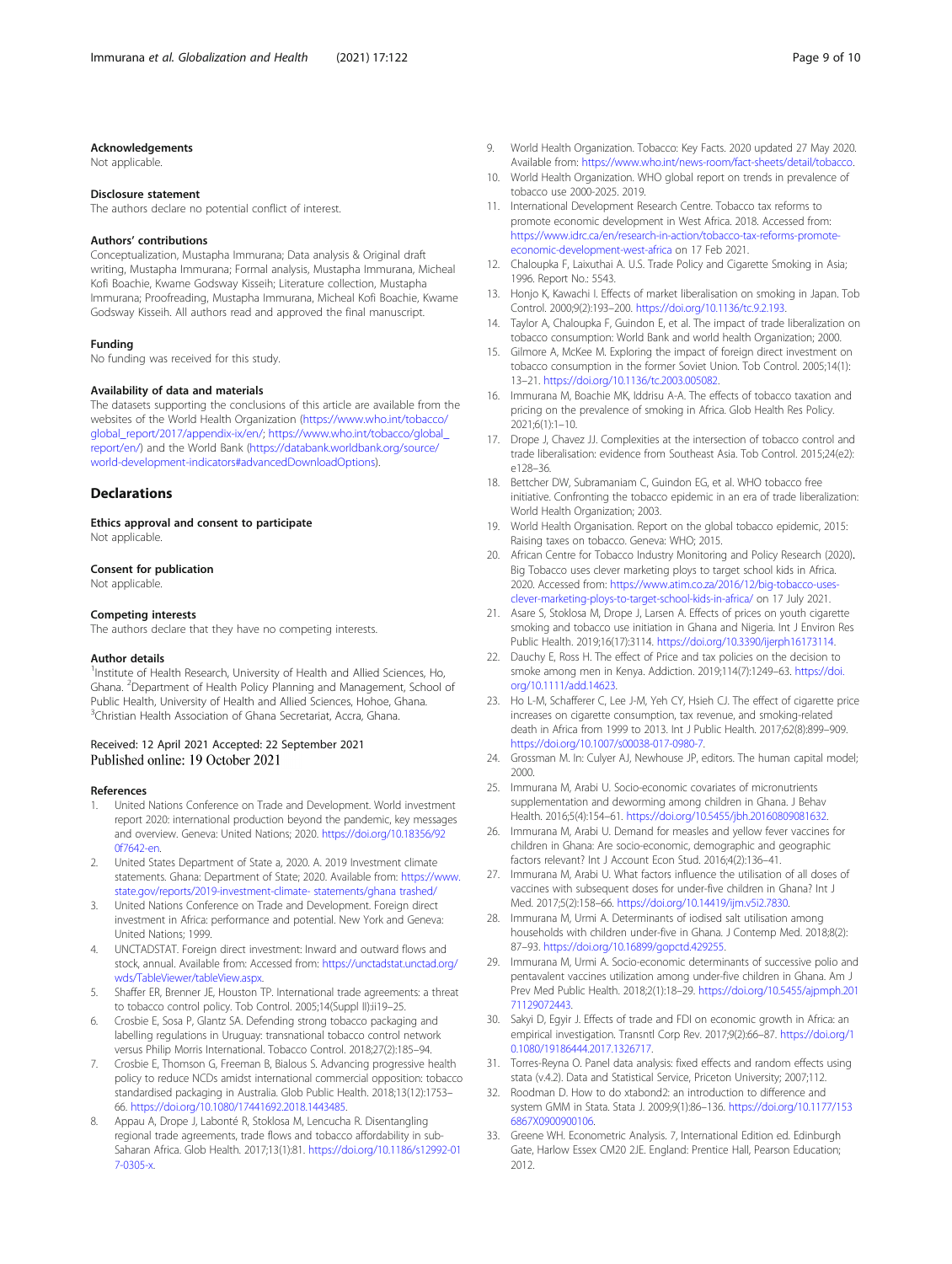#### <span id="page-8-0"></span>Acknowledgements

Not applicable.

#### Disclosure statement

The authors declare no potential conflict of interest.

#### Authors' contributions

Conceptualization, Mustapha Immurana; Data analysis & Original draft writing, Mustapha Immurana; Formal analysis, Mustapha Immurana, Micheal Kofi Boachie, Kwame Godsway Kisseih; Literature collection, Mustapha Immurana; Proofreading, Mustapha Immurana, Micheal Kofi Boachie, Kwame Godsway Kisseih. All authors read and approved the final manuscript.

#### Funding

No funding was received for this study.

#### Availability of data and materials

The datasets supporting the conclusions of this article are available from the websites of the World Health Organization ([https://www.who.int/tobacco/](https://www.who.int/tobacco/global_report/2017/appendix-ix/en/) [global\\_report/2017/appendix-ix/en/;](https://www.who.int/tobacco/global_report/2017/appendix-ix/en/) [https://www.who.int/tobacco/global\\_](https://www.who.int/tobacco/global_report/en/) [report/en/\)](https://www.who.int/tobacco/global_report/en/) and the World Bank [\(https://databank.worldbank.org/source/](https://databank.worldbank.org/source/world-development-indicators#advancedDownloadOptions) [world-development-indicators#advancedDownloadOptions\)](https://databank.worldbank.org/source/world-development-indicators#advancedDownloadOptions).

### **Declarations**

Ethics approval and consent to participate Not applicable.

#### Consent for publication

Not applicable.

#### Competing interests

The authors declare that they have no competing interests.

#### Author details

<sup>1</sup>Institute of Health Research, University of Health and Allied Sciences, Ho, Ghana. <sup>2</sup>Department of Health Policy Planning and Management, School of Public Health, University of Health and Allied Sciences, Hohoe, Ghana. <sup>3</sup>Christian Health Association of Ghana Secretariat, Accra, Ghana.

# Received: 12 April 2021 Accepted: 22 September 2021<br>Published online: 19 October 2021

#### References

- 1. United Nations Conference on Trade and Development. World investment report 2020: international production beyond the pandemic, key messages and overview. Geneva: United Nations; 2020. [https://doi.org/10.18356/92](https://doi.org/10.18356/920f7642-en) [0f7642-en.](https://doi.org/10.18356/920f7642-en)
- 2. United States Department of State a, 2020. A. 2019 Investment climate statements. Ghana: Department of State; 2020. Available from: [https://www.](https://www.state.gov/reports/2019-investment-climate-%20statements/ghana%20trashed/) [state.gov/reports/2019-investment-climate- statements/ghana trashed/](https://www.state.gov/reports/2019-investment-climate-%20statements/ghana%20trashed/)
- 3. United Nations Conference on Trade and Development. Foreign direct investment in Africa: performance and potential. New York and Geneva: United Nations; 1999.
- 4. UNCTADSTAT. Foreign direct investment: Inward and outward flows and stock, annual. Available from: Accessed from: [https://unctadstat.unctad.org/](https://unctadstat.unctad.org/wds/TableViewer/tableView.aspx) [wds/TableViewer/tableView.aspx.](https://unctadstat.unctad.org/wds/TableViewer/tableView.aspx)
- 5. Shaffer ER, Brenner JE, Houston TP. International trade agreements: a threat to tobacco control policy. Tob Control. 2005;14(Suppl II):ii19–25.
- 6. Crosbie E, Sosa P, Glantz SA. Defending strong tobacco packaging and labelling regulations in Uruguay: transnational tobacco control network versus Philip Morris International. Tobacco Control. 2018;27(2):185–94.
- 7. Crosbie E, Thomson G, Freeman B, Bialous S. Advancing progressive health policy to reduce NCDs amidst international commercial opposition: tobacco standardised packaging in Australia. Glob Public Health. 2018;13(12):1753– 66. <https://doi.org/10.1080/17441692.2018.1443485>.
- Appau A, Drope J, Labonté R, Stoklosa M, Lencucha R. Disentangling regional trade agreements, trade flows and tobacco affordability in sub-Saharan Africa. Glob Health. 2017;13(1):81. [https://doi.org/10.1186/s12992-01](https://doi.org/10.1186/s12992-017-0305-x) [7-0305-x.](https://doi.org/10.1186/s12992-017-0305-x)
- 9. World Health Organization. Tobacco: Key Facts. 2020 updated 27 May 2020. Available from: [https://www.who.int/news-room/fact-sheets/detail/tobacco.](https://www.who.int/news-room/fact-sheets/detail/tobacco)
- 10. World Health Organization. WHO global report on trends in prevalence of tobacco use 2000-2025. 2019.
- 11. International Development Research Centre. Tobacco tax reforms to promote economic development in West Africa. 2018. Accessed from: [https://www.idrc.ca/en/research-in-action/tobacco-tax-reforms-promote](https://www.idrc.ca/en/research-in-action/tobacco-tax-reforms-promote-economic-development-west-africa)[economic-development-west-africa](https://www.idrc.ca/en/research-in-action/tobacco-tax-reforms-promote-economic-development-west-africa) on 17 Feb 2021.
- 12. Chaloupka F, Laixuthai A. U.S. Trade Policy and Cigarette Smoking in Asia; 1996. Report No.: 5543.
- 13. Honjo K, Kawachi I. Effects of market liberalisation on smoking in Japan. Tob Control. 2000;9(2):193–200. <https://doi.org/10.1136/tc.9.2.193>.
- 14. Taylor A, Chaloupka F, Guindon E, et al. The impact of trade liberalization on tobacco consumption: World Bank and world health Organization; 2000.
- 15. Gilmore A, McKee M. Exploring the impact of foreign direct investment on tobacco consumption in the former Soviet Union. Tob Control. 2005;14(1): 13–21. <https://doi.org/10.1136/tc.2003.005082>.
- 16. Immurana M, Boachie MK, Iddrisu A-A. The effects of tobacco taxation and pricing on the prevalence of smoking in Africa. Glob Health Res Policy. 2021;6(1):1–10.
- 17. Drope J, Chavez JJ, Complexities at the intersection of tobacco control and trade liberalisation: evidence from Southeast Asia. Tob Control. 2015;24(e2): e128–36.
- 18. Bettcher DW, Subramaniam C, Guindon EG, et al. WHO tobacco free initiative. Confronting the tobacco epidemic in an era of trade liberalization: World Health Organization; 2003.
- 19. World Health Organisation. Report on the global tobacco epidemic, 2015: Raising taxes on tobacco. Geneva: WHO; 2015.
- 20. African Centre for Tobacco Industry Monitoring and Policy Research (2020). Big Tobacco uses clever marketing ploys to target school kids in Africa. 2020. Accessed from: [https://www.atim.co.za/2016/12/big-tobacco-uses](https://www.atim.co.za/2016/12/big-tobacco-uses-clever-marketing-ploys-to-target-school-kids-in-africa/)[clever-marketing-ploys-to-target-school-kids-in-africa/](https://www.atim.co.za/2016/12/big-tobacco-uses-clever-marketing-ploys-to-target-school-kids-in-africa/) on 17 July 2021.
- 21. Asare S, Stoklosa M, Drope J, Larsen A. Effects of prices on youth cigarette smoking and tobacco use initiation in Ghana and Nigeria. Int J Environ Res Public Health. 2019;16(17):3114. [https://doi.org/10.3390/ijerph16173114.](https://doi.org/10.3390/ijerph16173114)
- 22. Dauchy E, Ross H. The effect of Price and tax policies on the decision to smoke among men in Kenya. Addiction. 2019;114(7):1249–63. [https://doi.](https://doi.org/10.1111/add.14623) [org/10.1111/add.14623](https://doi.org/10.1111/add.14623).
- 23. Ho L-M, Schafferer C, Lee J-M, Yeh CY, Hsieh CJ. The effect of cigarette price increases on cigarette consumption, tax revenue, and smoking-related death in Africa from 1999 to 2013. Int J Public Health. 2017;62(8):899–909. <https://doi.org/10.1007/s00038-017-0980-7>.
- 24. Grossman M. In: Culyer AJ, Newhouse JP, editors. The human capital model; 2000.
- 25. Immurana M, Arabi U. Socio-economic covariates of micronutrients supplementation and deworming among children in Ghana. J Behav Health. 2016;5(4):154–61. <https://doi.org/10.5455/jbh.20160809081632>.
- 26. Immurana M, Arabi U. Demand for measles and yellow fever vaccines for children in Ghana: Are socio-economic, demographic and geographic factors relevant? Int J Account Econ Stud. 2016;4(2):136–41.
- 27. Immurana M, Arabi U. What factors influence the utilisation of all doses of vaccines with subsequent doses for under-five children in Ghana? Int J Med. 2017;5(2):158–66. <https://doi.org/10.14419/ijm.v5i2.7830>.
- 28. Immurana M, Urmi A. Determinants of iodised salt utilisation among households with children under-five in Ghana. J Contemp Med. 2018;8(2): 87–93. <https://doi.org/10.16899/gopctd.429255>.
- 29. Immurana M, Urmi A. Socio-economic determinants of successive polio and pentavalent vaccines utilization among under-five children in Ghana. Am J Prev Med Public Health. 2018;2(1):18–29. [https://doi.org/10.5455/ajpmph.201](https://doi.org/10.5455/ajpmph.20171129072443) [71129072443](https://doi.org/10.5455/ajpmph.20171129072443).
- 30. Sakyi D, Egyir J. Effects of trade and FDI on economic growth in Africa: an empirical investigation. Transntl Corp Rev. 2017;9(2):66–87. [https://doi.org/1](https://doi.org/10.1080/19186444.2017.1326717) [0.1080/19186444.2017.1326717.](https://doi.org/10.1080/19186444.2017.1326717)
- 31. Torres-Reyna O. Panel data analysis: fixed effects and random effects using stata (v.4.2). Data and Statistical Service, Priceton University; 2007;112.
- 32. Roodman D. How to do xtabond2: an introduction to difference and system GMM in Stata. Stata J. 2009;9(1):86–136. [https://doi.org/10.1177/153](https://doi.org/10.1177/1536867X0900900106) [6867X0900900106](https://doi.org/10.1177/1536867X0900900106).
- 33. Greene WH. Econometric Analysis. 7, International Edition ed. Edinburgh Gate, Harlow Essex CM20 2JE. England: Prentice Hall, Pearson Education; 2012.